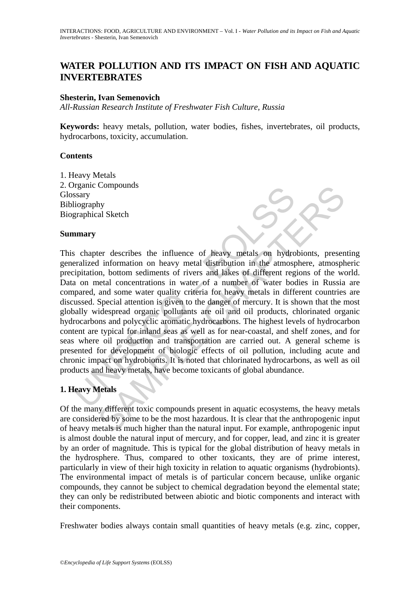# **WATER POLLUTION AND ITS IMPACT ON FISH AND AQUATIC INVERTEBRATES**

## **Shesterin, Ivan Semenovich**

*All-Russian Research Institute of Freshwater Fish Culture, Russia*

**Keywords:** heavy metals, pollution, water bodies, fishes, invertebrates, oil products, hydrocarbons, toxicity, accumulation.

## **Contents**

1. Heavy Metals 2. Organic Compounds **Glossary** Bibliography Biographical Sketch

## **Summary**

Stary<br>
schapet Compounds<br>
schapet discretibes the influence of heavy metals on hydro<br>
realized information on heavy metal distribution in the atmospipitation, bottom sediments of rivers and lakes of different reg<br>
a on met Compounds<br>
al Sketch<br>
by<br>
al Sketch<br>
by<br>
al Sketch<br>
by<br>
ter describes the influence of heavy metals on hydrobionts, present<br>
information on heavy metal distribution in the atmosphere, atmosphere<br>
betal concentrations in wa This chapter describes the influence of heavy metals on hydrobionts, presenting generalized information on heavy metal distribution in the atmosphere, atmospheric precipitation, bottom sediments of rivers and lakes of different regions of the world. Data on metal concentrations in water of a number of water bodies in Russia are compared, and some water quality criteria for heavy metals in different countries are discussed. Special attention is given to the danger of mercury. It is shown that the most globally widespread organic pollutants are oil and oil products, chlorinated organic hydrocarbons and polycyclic aromatic hydrocarbons. The highest levels of hydrocarbon content are typical for inland seas as well as for near-coastal, and shelf zones, and for seas where oil production and transportation are carried out. A general scheme is presented for development of biologic effects of oil pollution, including acute and chronic impact on hydrobionts. It is noted that chlorinated hydrocarbons, as well as oil products and heavy metals, have become toxicants of global abundance.

# **1. Heavy Metals**

Of the many different toxic compounds present in aquatic ecosystems, the heavy metals are considered by some to be the most hazardous. It is clear that the anthropogenic input of heavy metals is much higher than the natural input. For example, anthropogenic input is almost double the natural input of mercury, and for copper, lead, and zinc it is greater by an order of magnitude. This is typical for the global distribution of heavy metals in the hydrosphere. Thus, compared to other toxicants, they are of prime interest, particularly in view of their high toxicity in relation to aquatic organisms (hydrobionts). The environmental impact of metals is of particular concern because, unlike organic compounds, they cannot be subject to chemical degradation beyond the elemental state; they can only be redistributed between abiotic and biotic components and interact with their components.

Freshwater bodies always contain small quantities of heavy metals (e.g. zinc, copper,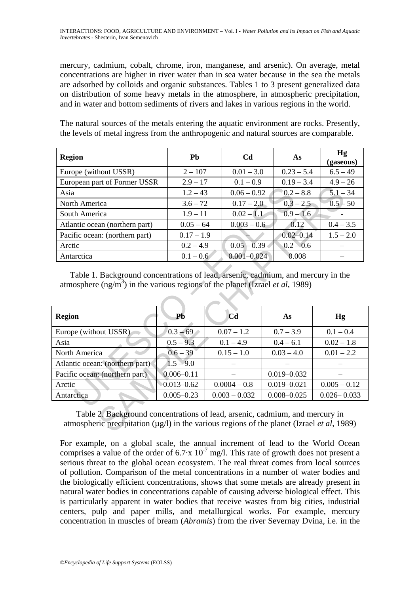mercury, cadmium, cobalt, chrome, iron, manganese, and arsenic). On average, metal concentrations are higher in river water than in sea water because in the sea the metals are adsorbed by colloids and organic substances. Tables 1 to 3 present generalized data on distribution of some heavy metals in the atmosphere, in atmospheric precipitation, and in water and bottom sediments of rivers and lakes in various regions in the world.

The natural sources of the metals entering the aquatic environment are rocks. Presently, the levels of metal ingress from the anthropogenic and natural sources are comparable.

| <b>Region</b>                  | <b>Ph</b>    | <b>Cd</b>       | As            | Hg<br>(gaseous) |
|--------------------------------|--------------|-----------------|---------------|-----------------|
| Europe (without USSR)          | $2 - 107$    | $0.01 - 3.0$    | $0.23 - 5.4$  | $6.5 - 49$      |
| European part of Former USSR   | $2.9 - 17$   | $0.1 - 0.9$     | $0.19 - 3.4$  | $4.9 - 26$      |
| Asia                           | $1.2 - 43$   | $0.06 - 0.92$   | $0.2 - 8.8$   | $5.1 - 34$      |
| North America                  | $3.6 - 72$   | $0.17 - 2.0$    | $0.3 - 2.5$   | $0.5 - 50$      |
| South America                  | $1.9 - 11$   | $0.02 - 1.1$    | $0.9 - 1.6$   |                 |
| Atlantic ocean (northern part) | $0.05 - 64$  | $0.003 - 0.6$   | 0.12          | $0.4 - 3.5$     |
| Pacific ocean: (northern part) | $0.17 - 1.9$ |                 | $0.02 - 0.14$ | $1.5 - 2.0$     |
| Arctic                         | $0.2 - 4.9$  | $0.05 - 0.39$   | $0.2 - 0.6$   |                 |
| Antarctica                     | $0.1 - 0.6$  | $0.001 - 0.024$ | 0.008         |                 |

| Asia                                                                                              | $1.2 - 43$     | $0.06 - 0.92$   | $0.2 - 8.8$     | $5.1 - 34$      |  |  |
|---------------------------------------------------------------------------------------------------|----------------|-----------------|-----------------|-----------------|--|--|
| North America                                                                                     | $3.6 - 72$     | $0.17 - 2.0$    | $0.3 - 2.5$     | $0.5 - 50$      |  |  |
| South America                                                                                     | $1.9 - 11$     | $0.02 - 1.1$    | $0.9 - 1.6$     |                 |  |  |
| Atlantic ocean (northern part)                                                                    | $0.05 - 64$    | $0.003 - 0.6$   | 0.12            | $0.4 - 3.5$     |  |  |
| Pacific ocean: (northern part)                                                                    | $0.17 - 1.9$   |                 | $0.02 - 0.14$   | $1.5 - 2.0$     |  |  |
| Arctic                                                                                            | $0.2 - 4.9$    | $0.05 - 0.39$   | $0.2 - 0.6$     |                 |  |  |
| Antarctica                                                                                        | $0.1 - 0.6$    | $0.001 - 0.024$ | 0.008           |                 |  |  |
| atmosphere (ng/m <sup>3</sup> ) in the various regions of the planet (Izrael <i>et al</i> , 1989) |                |                 |                 |                 |  |  |
|                                                                                                   |                |                 |                 |                 |  |  |
| <b>Region</b>                                                                                     | Pb             | C <sub>d</sub>  | As              | Hg              |  |  |
| Europe (without USSR)                                                                             | $0.3 - 69$     | $0.07 - 1.2$    | $0.7 - 3.9$     | $0.1 - 0.4$     |  |  |
| Asia                                                                                              | $0.5 - 9.3$    | $0.1 - 4.9$     | $0.4 - 6.1$     | $0.02 - 1.8$    |  |  |
| North America                                                                                     | $0.6 - 39$     | $0.15 - 1.0$    | $0.03 - 4.0$    | $0.01 - 2.2$    |  |  |
| Atlantic ocean: (northern part)                                                                   | $1.5 - 9.0$    |                 |                 |                 |  |  |
| Pacific ocean: (northern part)                                                                    | $0.006 - 0.11$ |                 | $0.019 - 0.032$ |                 |  |  |
| Arctic                                                                                            | $0.013 - 0.62$ | $0.0004 - 0.8$  | $0.019 - 0.021$ | $0.005 - 0.12$  |  |  |
| Antarctica                                                                                        | $0.005 - 0.23$ | $0.003 - 0.032$ | $0.008 - 0.025$ | $0.026 - 0.033$ |  |  |

For example, on a global scale, the annual increment of lead to the World Ocean comprises a value of the order of  $6.7 \times 10^{-7}$  mg/l. This rate of growth does not present a serious threat to the global ocean ecosystem. The real threat comes from local sources of pollution. Comparison of the metal concentrations in a number of water bodies and the biologically efficient concentrations, shows that some metals are already present in natural water bodies in concentrations capable of causing adverse biological effect. This is particularly apparent in water bodies that receive wastes from big cities, industrial centers, pulp and paper mills, and metallurgical works. For example, mercury concentration in muscles of bream (*Abramis*) from the river Severnay Dvina, i.e. in the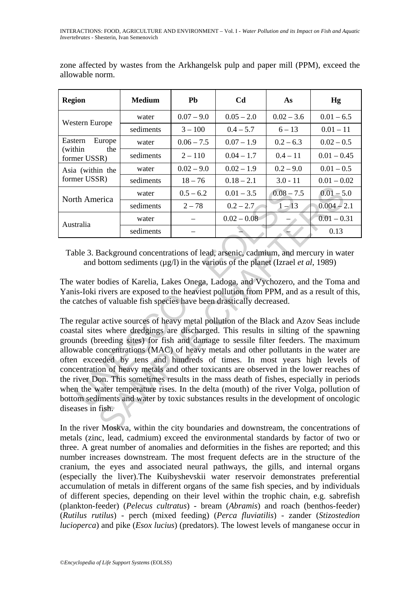| <b>Region</b>                                       | <b>Medium</b> | Pb           | Cd.           | As           | Hg            |
|-----------------------------------------------------|---------------|--------------|---------------|--------------|---------------|
| Western Europe                                      | water         | $0.07 - 9.0$ | $0.05 - 2.0$  | $0.02 - 3.6$ | $0.01 - 6.5$  |
|                                                     | sediments     | $3 - 100$    | $0.4 - 5.7$   | $6 - 13$     | $0.01 - 11$   |
| Eastern<br>Europe<br>(within<br>the<br>former USSR) | water         | $0.06 - 7.5$ | $0.07 - 1.9$  | $0.2 - 6.3$  | $0.02 - 0.5$  |
|                                                     | sediments     | $2 - 110$    | $0.04 - 1.7$  | $0.4 - 11$   | $0.01 - 0.45$ |
| Asia (within the<br>former USSR)                    | water         | $0.02 - 9.0$ | $0.02 - 1.9$  | $0.2 - 9.0$  | $0.01 - 0.5$  |
|                                                     | sediments     | $18 - 76$    | $0.18 - 2.1$  | $3.0 - 11$   | $0.01 - 0.02$ |
| North America                                       | water         | $0.5 - 6.2$  | $0.01 - 3.5$  | $0.08 - 7.5$ | $0.01 - 5.0$  |
|                                                     | sediments     | $2 - 78$     | $0.2 - 2.7$   | $1 - 13$     | $0.004 - 2.1$ |
| Australia                                           | water         |              | $0.02 - 0.08$ |              | $0.01 - 0.31$ |
|                                                     | sediments     |              |               |              | 0.13          |

zone affected by wastes from the Arkhangelsk pulp and paper mill (PPM), exceed the allowable norm.

Table 3. Background concentrations of lead, arsenic, cadmium, and mercury in water and bottom sediments  $(\mu g/l)$  in the various of the planet (Izrael *et al.* 1989)

The water bodies of Karelia, Lakes Onega, Ladoga, and Vychozero, and the Toma and Yanis-Ioki rivers are exposed to the heaviest pollution from PPM, and as a result of this, the catches of valuable fish species have been drastically decreased.

The America water  $0.5-6.2$   $0.01-3.5$   $0.08-7$ <br>
sediments  $2-78$   $0.2-2.7$   $1-15$ <br>
stralia water  $0.02-0.08$   $-$ <br>
sediments  $0.02-0.08$   $-$ <br>
ble 3. Background concentrations of lead, arsenic, cadmium, and<br>
and bo erica water  $0.5-6.2$   $0.01-3.5$   $0.08-7.5$   $0.01-5$ <br>
sediments  $2-78$   $0.2-2.7$   $1-13$   $0.004-2$ <br>
water  $0.02-0.08$   $0.01-0$ <br>
sediments  $0.02-0.08$   $0.13$ <br>
Background concentrations of lead, arsenic, cadmium, and The regular active sources of heavy metal pollution of the Black and Azov Seas include coastal sites where dredgings are discharged. This results in silting of the spawning grounds (breeding sites) for fish and damage to sessile filter feeders. The maximum allowable concentrations (MAC) of heavy metals and other pollutants in the water are often exceeded by tens and hundreds of times. In most years high levels of concentration of heavy metals and other toxicants are observed in the lower reaches of the river Don. This sometimes results in the mass death of fishes, especially in periods when the water temperature rises. In the delta (mouth) of the river Volga, pollution of bottom sediments and water by toxic substances results in the development of oncologic diseases in fish.

In the river Moskva, within the city boundaries and downstream, the concentrations of metals (zinc, lead, cadmium) exceed the environmental standards by factor of two or three. A great number of anomalies and deformities in the fishes are reported; and this number increases downstream. The most frequent defects are in the structure of the cranium, the eyes and associated neural pathways, the gills, and internal organs (especially the liver).The Kuibyshevskii water reservoir demonstrates preferential accumulation of metals in different organs of the same fish species, and by individuals of different species, depending on their level within the trophic chain, e.g. sabrefish (plankton-feeder) (*Pelecus cultratus*) - bream (*Abramis*) and roach (benthos-feeder) (*Rutilus rutilus*) - perch (mixed feeding) (*Perca fluviatilis*) - zander (*Stizostedion lucioperca*) and pike (*Esox lucius*) (predators). The lowest levels of manganese occur in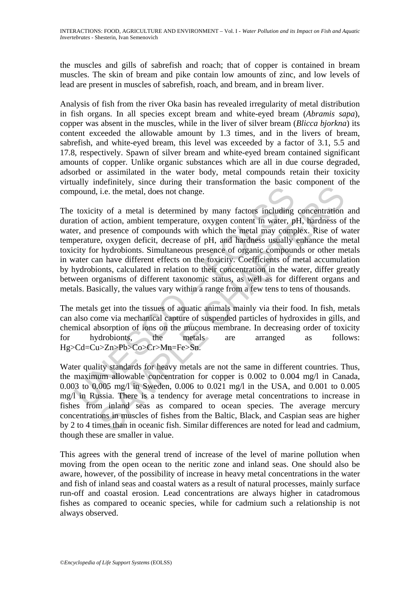the muscles and gills of sabrefish and roach; that of copper is contained in bream muscles. The skin of bream and pike contain low amounts of zinc, and low levels of lead are present in muscles of sabrefish, roach, and bream, and in bream liver.

Analysis of fish from the river Oka basin has revealed irregularity of metal distribution in fish organs. In all species except bream and white-eyed bream (*Abramis sapa*), copper was absent in the muscles, while in the liver of silver bream (*Blicca bjorkna*) its content exceeded the allowable amount by 1.3 times, and in the livers of bream, sabrefish, and white-eyed bream, this level was exceeded by a factor of 3.1, 5.5 and 17.8, respectively. Spawn of silver bream and white-eyed bream contained significant amounts of copper. Unlike organic substances which are all in due course degraded, adsorbed or assimilated in the water body, metal compounds retain their toxicity virtually indefinitely, since during their transformation the basic component of the compound, i.e. the metal, does not change.

pound, i.e. the metal, does not change.<br>
toxicity of a metal is determined by many factors including<br>
troin of action, ambient temperature, oxygen content in water, p<br>
are, and presence of compounds with which the metal m i.e. the metal, does not change.<br>
i.e. the metal, does not change.<br>
ty of a metal is determined by many factors including concentration<br>
f action, ambient temperature, oxygen content in water, pH, hardness of<br>
presence of The toxicity of a metal is determined by many factors including concentration and duration of action, ambient temperature, oxygen content in water, pH, hardness of the water, and presence of compounds with which the metal may complex. Rise of water temperature, oxygen deficit, decrease of pH, and hardness usually enhance the metal toxicity for hydrobionts. Simultaneous presence of organic compounds or other metals in water can have different effects on the toxicity. Coefficients of metal accumulation by hydrobionts, calculated in relation to their concentration in the water, differ greatly between organisms of different taxonomic status, as well as for different organs and metals. Basically, the values vary within a range from a few tens to tens of thousands.

The metals get into the tissues of aquatic animals mainly via their food. In fish, metals can also come via mechanical capture of suspended particles of hydroxides in gills, and chemical absorption of ions on the mucous membrane. In decreasing order of toxicity for hydrobionts, the metals are arranged as follows: Hg>Cd=Cu>Zn>Pb>Co>Cr>Mn=Fe>Sn.

Water quality standards for heavy metals are not the same in different countries. Thus, the maximum allowable concentration for copper is 0.002 to 0.004 mg/l in Canada, 0.003 to 0.005 mg/l in Sweden, 0.006 to 0.021 mg/l in the USA, and 0.001 to 0.005 mg/l in Russia. There is a tendency for average metal concentrations to increase in fishes from inland seas as compared to ocean species. The average mercury concentrations in muscles of fishes from the Baltic, Black, and Caspian seas are higher by 2 to 4 times than in oceanic fish. Similar differences are noted for lead and cadmium, though these are smaller in value.

This agrees with the general trend of increase of the level of marine pollution when moving from the open ocean to the neritic zone and inland seas. One should also be aware, however, of the possibility of increase in heavy metal concentrations in the water and fish of inland seas and coastal waters as a result of natural processes, mainly surface run-off and coastal erosion. Lead concentrations are always higher in catadromous fishes as compared to oceanic species, while for cadmium such a relationship is not always observed.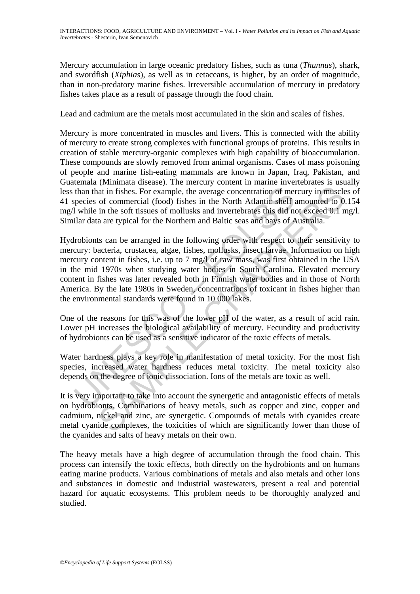Mercury accumulation in large oceanic predatory fishes, such as tuna (*Thunnus*), shark, and swordfish (*Xiphias*), as well as in cetaceans, is higher, by an order of magnitude, than in non-predatory marine fishes. Irreversible accumulation of mercury in predatory fishes takes place as a result of passage through the food chain.

Lead and cadmium are the metals most accumulated in the skin and scales of fishes.

Mercury is more concentrated in muscles and livers. This is connected with the ability of mercury to create strong complexes with functional groups of proteins. This results in creation of stable mercury-organic complexes with high capability of bioaccumulation. These compounds are slowly removed from animal organisms. Cases of mass poisoning of people and marine fish-eating mammals are known in Japan, Iraq, Pakistan, and Guatemala (Minimata disease). The mercury content in marine invertebrates is usually less than that in fishes. For example, the average concentration of mercury in muscles of 41 species of commercial (food) fishes in the North Atlantic shelf amounted to 0.154 mg/l while in the soft tissues of mollusks and invertebrates this did not exceed 0.1 mg/l. Similar data are typical for the Northern and Baltic seas and bays of Australia.

than that in fishes. For example, the average concentration of meropecies of commercial (food) fishes in the North Atlantic shelf at while in the soft tissues of mollusks and invertebrates this did not lare dial ar data ar at in fishes. For example, the average concentration of mercury in muscle of commercial (food) fishes in the North Atlantic shelf amounted to 0 in the soft tissues of mollusks and invertebrates this did not exceed 0.1 n ar Hydrobionts can be arranged in the following order with respect to their sensitivity to mercury: bacteria, crustacea, algae, fishes, mollusks, insect larvae. Information on high mercury content in fishes, i.e. up to 7 mg/l of raw mass, was first obtained in the USA in the mid 1970s when studying water bodies in South Carolina. Elevated mercury content in fishes was later revealed both in Finnish water bodies and in those of North America. By the late 1980s in Sweden, concentrations of toxicant in fishes higher than the environmental standards were found in 10 000 lakes.

One of the reasons for this was of the lower pH of the water, as a result of acid rain. Lower pH increases the biological availability of mercury. Fecundity and productivity of hydrobionts can be used as a sensitive indicator of the toxic effects of metals.

Water hardness plays a key role in manifestation of metal toxicity. For the most fish species, increased water hardness reduces metal toxicity. The metal toxicity also depends on the degree of ionic dissociation. Ions of the metals are toxic as well.

It is very important to take into account the synergetic and antagonistic effects of metals on hydrobionts. Combinations of heavy metals, such as copper and zinc, copper and cadmium, nickel and zinc, are synergetic. Compounds of metals with cyanides create metal cyanide complexes, the toxicities of which are significantly lower than those of the cyanides and salts of heavy metals on their own.

The heavy metals have a high degree of accumulation through the food chain. This process can intensify the toxic effects, both directly on the hydrobionts and on humans eating marine products. Various combinations of metals and also metals and other ions and substances in domestic and industrial wastewaters, present a real and potential hazard for aquatic ecosystems. This problem needs to be thoroughly analyzed and studied.